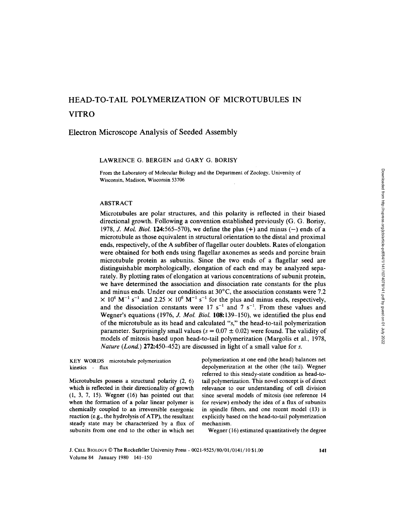# HEAD-TO-TAIL POLYMERIZATION OF MICROTUBULES IN VITRO

## Electron Microscope Analysis of Seeded Assembly

## LAWRENCE G. BERGEN and GARY G. BORISY

From the Laboratory of Molecular Biology and the Department of Zoology, University of Wisconsin, Madison, Wisconsin 53706

## ABSTRACT

Microtubules are polar structures, and this polarity is reflected in their biased directional growth. Following <sup>a</sup> convention established previously (G. G. Borisy, 1978, J. Mol. Biol. 124:565-570), we define the plus  $(+)$  and minus  $(-)$  ends of a microtubule as those equivalent in structural orientation to the distal and proximal ends, respectively, of the A subfiber of flagellar outer doublets. Rates of elongation were obtained for both ends using flagellar axonemes as seeds and porcine brain microtubule protein as subunits . Since the two ends of a flagellar seed are distinguishable morphologically, elongation of each end may be analyzed separately. By plotting rates of elongation at various concentrations of subunit protein, we have determined the association and dissociation rate constants for the plus and minus ends. Under our conditions at 30° C, the association constants were 7.2  $\times$  10<sup>6</sup> M<sup>-1</sup> s<sup>-1</sup> and 2.25  $\times$  10<sup>6</sup> M<sup>-1</sup> s<sup>-1</sup> for the plus and minus ends, respectively, and the dissociation constants were 17  $s^{-1}$  and 7  $s^{-1}$ . From these values and Wegner's equations (1976, J. Mol. Biol. 108:139-150), we identified the plus end of the microtubule as its head and calculated "s," the head-to-tail polymerization parameter. Surprisingly small values ( $s = 0.07 \pm 0.02$ ) were found. The validity of models of mitosis based upon head-to-tail polymerization (Margolis et al., 1978, *Nature* (*Lond.*) 272:450–452) are discussed in light of a small value for s.

KEY WORDS microtubule polymerization kinetics - flux

Microtubules possess a structural polarity (2, 6) which is reflected in their directionality of growth (1, 3, 7, 15). Wegner (16) has pointed out that when the formation of a polar linear polymer is chemically coupled to an irreversible exergonic reaction (e.g., the hydrolysis of ATP), the resultant steady state may be characterized by a flux of subunits from one end to the other in which net

polymerization at one end (the head) balances net depolymerization at the other (the tail). Wegner referred to this steady-state condition as head-totail polymerization. This novel concept is of direct relevance to our understanding of cell division since several models of mitosis (see reference 14 for review) embody the idea of a flux of subunits in spindle fibers, and one recent model (13) is explicitly based on the head-to-tail polymerization mechanism .

Wegner (16) estimated quantitatively the degree

<sup>J</sup> . CELL BIOLOGY © The Rockefeller University Press - 0021-9525/80/01/0141/10 \$1 .00 Volume 84 January 1980 141-150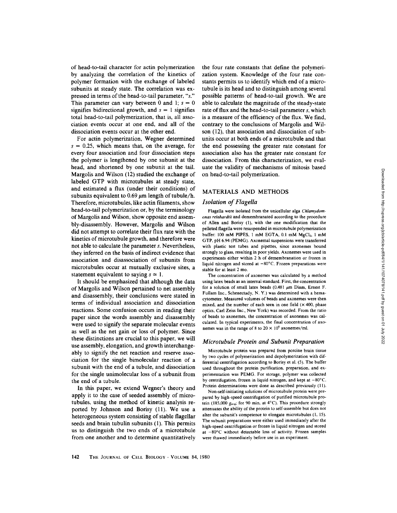of head-to-tail character for actin polymerization by analyzing the correlation of the kinetics of polymer formation with the exchange of labeled subunits at steady state. The correlation was expressed in terms of the head-to-tail parameter, "s." This parameter can vary between 0 and 1;  $s = 0$ signifies bidirectional growth, and  $s = 1$  signifies total head-to-tail polymerization, that is, all association events occur at one end, and all of the dissociation events occur at the other end.

For actin polymerization, Wegner determined  $s = 0.25$ , which means that, on the average, for every four association and four dissociation steps the polymer is lengthened by one subunit at the head, and shortened by one subunit at the tail. Margolis and Wilson (12) studied the exchange of labeled GTP with microtubules at steady state, and estimated a flux (under their conditions) of subunits equivalent to  $0.69 \mu m$  length of tubule/h. Therefore, microtubules, like actin filaments, show head-to-tail polymerization or, by the terminology of Margolis and Wilson, show opposite end assembly-disassembly. However, Margolis and Wilson did not attempt to correlate their flux rate with the kinetics of microtubule growth, and therefore were not able to calculate the parameter s. Nevertheless, they inferred on the basis of indirect evidence that association and disassociation of subunits from microtubules occur at mutually exclusive sites, a statement equivalent to saying  $s \approx 1$ .

It should be emphasized that although the data of Margolis and Wilson pertained to net assembly and disassembly, their conclusions were stated in terms of individual association and dissociation reactions. Some confusion occurs in reading their paper since the words assembly and disassembly were used to signify the separate molecular events as well as the net gain or loss of polymer. Since these distinctions are crucial to this paper, we will use assembly, elongation, and growth interchangeably to signify the net reaction and reserve association for the single bimolecular reaction of a subunit with the end of a tubule, and dissociation for the single unimolecular loss of a subunit from the end of a tubule.

In this paper, we extend Wegner's theory and apply it to the case of seeded assembly of microtubules, using the method of kinetic analysis reported by Johnson and Borisy (11). We use a heterogeneous system consisting of stable flagellar seeds and brain tubulin subunits (1). This permits us to distinguish the two ends of a microtubule from one another and to determine quantitatively the four rate constants that define the polymerization system. Knowledge of the four rate constants permits us to identify which end of a microtubule is its head and to distinguish among several possible patterns of head-to-tail growth. We are able to calculate the magnitude of the steady-state rate of flux and the head-to-tail parameter  $s$ , which is a measure of the efficiency of the flux. We find, contrary to the conclusions of Margolis and Wilson (12), that association and dissociation of subunits occur at both ends of a microtubule and that the end possessing the greater rate constant for association also has the greater rate constant for dissociation. From this characterization, we evaluate the validity of mechanisms of mitosis based on head-to-tail polymerization.

### MATERIALS AND METHODS

#### Isolation of Flagella

Flagella were isolated from the unicellular alga Chlamydomonas reinhardtii and demembranated according to the procedure of Allen and Borisy (1), with the one modification that the pelleted flagella were resuspended in microtubule polymerization buffer:  $100$  mM PIPES,  $1$  mM EGTA,  $0.1$  mM  $MgCl<sub>2</sub>$ ,  $1$  mM GTP, pH 6.94 (PEMG). Axonemal suspensions were transferred with plastic test tubes and pipettes, since axonemes bound strongly to glass, resulting in poor yields . Axonemes were used in experiments either within 2 h of demembranation or frozen in liquid nitrogen and stored at  $-80^{\circ}$ C. Frozen preparations were stable for at least 2 mo.

The concentration of axonemes was calculated by a method using latex beads as an internal standard. First, the concentration for a solution of small latex beads  $(0.481 \mu m)$  Diam, Ernest F. Fullam Inc., Schenectady, N. Y.) was determined with <sup>a</sup> hemacytometer. Measured volumes of beads and axonemes were then mixed, and the number of each seen in one field  $(x 400)$ , phase optics, Carl Zeiss Inc., New York) was recorded From the ratio of beads to axonemes, the concentration of axonemes was calculated. In typical experiments, the final concentration of axonemes was in the range of 8 to  $20 \times 10^6$  axonemes/ml.

#### Microtubule Protein and Subunit Preparation

Microtubule protein was prepared from porcine brain tissue by two cycles of polymerization and depolymerization with differential centrifugation according to Borisy et al. (5). The buffer used throughout the protein purification, preparation, and experimentation was PEMG. For storage, polymer was collected by centrifugation, frozen in liquid nitrogen, and kept at  $-80^{\circ}$ C. Protein determinations were done as described previously (11).

Non-self-initiating solutions of microtubule protein were prepared by high-speed centrifugation of purified microtubule protein (185,000  $g_{\text{avg}}$ ; for 90 min, at 4°C). This procedure strongly attenuates the ability of the protein to self-assemble but does not alter the subunit's competence to elongate microtubules (1, 15). The subunit preparations were either used immediately after the high-speed centrifugation or frozen in liquid nitrogen and stored at  $-80^{\circ}$ C without detectable loss of activity. Frozen samples were thawed immediately before use in an experiment.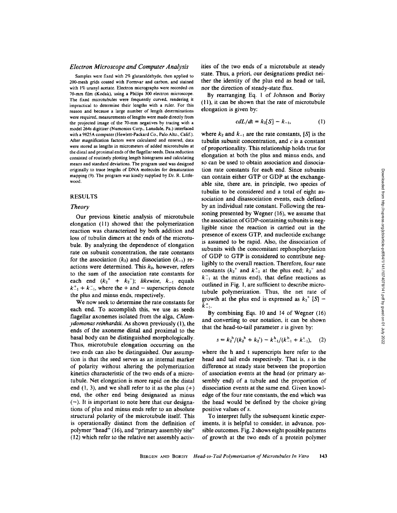#### Electron Microscope and Computer Analysis

Samples were fixed with 2% glutaraldehyde, then applied to 200-mesh grids coated with Formvar and carbon, and stained with 1% uranyl acetate. Electron micrographs were recorded on 70-mm film (Kodak), using a Philips 300 electron microscope . The fixed microtubules were frequently curved, rendering it impractical to determine their lengths with a ruler, For this reason and because a large number of length determinations were required, measurements of lengths were made directly from the projected image of the 70-mm negatives by tracing with a model 264s digitizer (Numonics Corp., Lansdale, Pa.) interfaced with a 9825A computer (Hewlett-Packard Co., Palo Alto., Calif) . After magnification factors were calculated and entered, data were stored as lengths in micrometers of added microtubules at the distal and proximal ends of the flagellar seeds. Data reduction consisted of routinely plotting length histograms and calculating means and standard deviations. The program used was designed originally to trace lengths of DNA molecules for denaturation mapping (9). The program was kindly supplied by Dr. R. Littlewood.

#### RESULTS

#### **Theory**

Our previous kinetic analysis of microtubule elongation (11) showed that the polymerization reaction was characterized by both addition and loss of tubulin dimers at the ends of the microtubule. By analyzing the dependence of elongation rate on subunit concentration, the rate constants for the association  $(k_2)$  and dissociation  $(k_{-1})$  reactions were determined. This  $k_2$ , however, refers to the sum of the association rate constants for each end  $(k_2^+ + k_2^-)$ ; likewise,  $k_{-1}$  equals  $k_{-1}^+ + k_{-1}^-$ , where the + and - superscripts denote the plus and minus ends, respectively.

We now seek to determine the rate constants for each end. To accomplish this, we use as seeds flagellar axonemes isolated from the alga, Chlamydomonas reinhardiii, As shown previously (1), the ends of the axoneme distal and proximal to the basal body can be distinguished morphologically. Thus, microtubule elongation occurring on the two ends can also be distinguished. Our assumption is that the seed serves as an internal marker of polarity without altering the polymerization kinetics characteristic of the two ends of a microtubule. Net elongation is more rapid on the distal end  $(1, 3)$ , and we shall refer to it as the plus  $(+)$ end, the other end being designated as minus  $(-)$ . It is important to note here that our designations of plus and minus ends refer to an absolute structural polarity of the microtubule itself. This is operationally distinct from the definition of polymer "head" (16), and "primary assembly site" (12) which refer to the relative net assembly activities of the two ends of a microtubule at steady state. Thus, a priori, our designations predict neither the identity of the plus end as head or tail, nor the direction of steady-state flux.

By rearranging Eq. <sup>1</sup> of Johnson and Borisy (11), it can be shown that the rate of microtubule elongation is given by:

$$
cdL/dt = k_2[S] - k_{-1}, \qquad (1)
$$

where  $k_2$  and  $k_{-1}$  are the rate constants, [S] is the tubulin subunit concentration, and  $c$  is a constant of proportionality. This relationship holds true for elongation at both the plus and minus ends, and so can be used to obtain association and dissociation rate constants for each end. Since subunits can contain either GTP or GDP at the exchangeable site, there are, in principle, two species of tubulin to be considered and a total of eight association and disassociation events, each defined by an individual rate constant. Following the reasoning presented by Wegner (16), we assume that the association of GDP-containing subunits is negligible since the reaction is carried out in the presence of excess GTP, and nucleotide exchange is assumed to be rapid. Also, the dissociation of subunits with the concomitant rephosphorylation of GDP to GTP is considered to contribute negligibly to the overall reaction. Therefore, four rate constants ( $k_2$ <sup>+</sup> and  $k_{-1}$  at the plus end;  $k_2$ <sup>-</sup> and  $k_{-1}^-$  at the minus end), that define reactions as outlined in Fig. l, are sufficient to describe microtubule polymerization. Thus, the net rate of growth at the plus end is expressed as  $k_2$ <sup>+</sup> [S]  $k_{-1}^{+}$ .

By combining Eqs. 10 and <sup>14</sup> of Wegner (16) and converting to our notation, it can be shown that the head-to-tail parameter <sup>s</sup> is given by:

$$
s = k_2^{\mathrm{h}}/(k_2^{\mathrm{h}} + k_2^{\mathrm{t}}) - k_{-1}^{\mathrm{h}}/(k_{-1}^{\mathrm{h}} + k_{-1}^{\mathrm{t}}), \quad (2)
$$

where the h and <sup>t</sup> superscripts here refer to the head and tail ends respectively. That is, <sup>s</sup> is the difference at steady state between the proportion of association events at the head (or primary assembly end) of a tubule and the proportion of dissociation events at the same end. Given knowledge of the four rate constants, the end which was the head would be defined by the choice giving positive values of s.

To interpret fully the subsequent kinetic experiments, it is helpful to consider, in advance, possible outcomes. Fig. 2 shows eight possible patterns of growth at the two ends of a protein polymer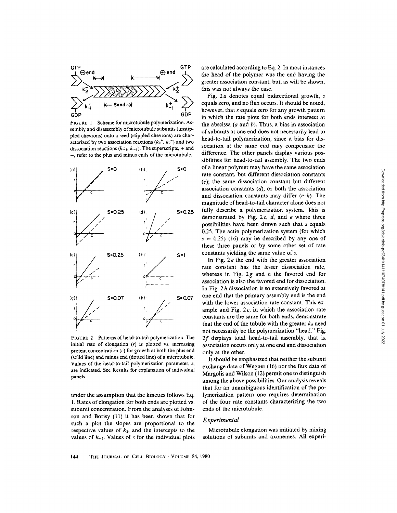

FIGURE <sup>I</sup> Scheme for microtubule polymerization. Assembly and disassembly of microtubule subunits (unstippled chevrons) onto a seed (stippled chevrons) are characterized by two association reactions  $(k_2^+, k_2^-)$  and two dissociation reactions ( $k_{-1}$ ,  $k_{-1}$ ). The superscripts, + and -, refer to the plus and minus ends of the microtubule



FIGURE 2 Patterns of head-to-tail polymerization. The initial rate of elongation (r) is plotted vs. increasing protein concentration  $(c)$  for growth at both the plus end (solid line) and minus end (dotted line) of a microtubule. Values of the head-to-tail polymerization parameter, s, are indicated. See Results for explanation of individual panels.

under the assumption that the kinetics follows Eq. 1. Rates of elongation for both ends are plotted vs. subunit concentration. From the analyses of Johnson and Borisy (11) it has been shown that for such a plot the slopes are proportional to the respective values of  $k_2$ , and the intercepts to the values of  $k_{-1}$ . Values of s for the individual plots are calculated according to Eq. 2. In most instances the head of the polymer was the end having the greater association constant, but, as will be shown, this was not always the case.

Fig. 2a denotes equal bidirectional growth, <sup>s</sup> equals zero, and no flux occurs. It should be noted, however, that s equals zero for any growth pattern in which the rate plots for both ends intersect at the abscissa  $(a \text{ and } b)$ . Thus, a bias in association of subunits at one end does not necessarily lead to head-to-tail polymerization, since a bias for dissociation at the same end may compensate the difference. The other panels display various possibilities for head-to-tail assembly. The two ends of alinear polymer may have the same association rate constant, but different dissociation constants (c); the same dissociation constant but different association constants  $(d)$ ; or both the association and dissociation constants may differ  $(e-h)$ . The magnitude of head-to-tail character alone does not fully describe a polymerization system. This is demonstrated by Fig.  $2c$ ,  $d$ , and  $e$  where three possibilities have been drawn such that <sup>s</sup> equals 0.25 . The actin polymerization system (for which  $s = 0.25$ ) (16) may be described by any one of these three panels or by some other set of rate constants yielding the same value of s.

In Fig. 2 e the end with the greater association rate constant has the lesser dissociation rate, whereas in Fig.  $2g$  and h the favored end for association is also the favored end for dissociation . In Fig.  $2h$  dissociation is so extensively favored at one end that the primary assembly end is the end with the lower association rate constant. This example and Fig.  $2c$ , in which the association rate constants are the same for both ends, demonstrate that the end of the tubule with the greater  $k_2$  need not necessarily be the polymerization "head." Fig.  $2f$  displays total head-to-tail assembly, that is, association occurs only at one end and dissociation only at the other.

It should be emphasized that neither the subunit exchange data of Wegner (16) nor the flux data of Margolis and Wilson (12) permit one to distinguish among the above possibilities . Our analysis reveals that for an unambiguous identification of the polymerization pattern one requires determination of the four rate constants characterizing the two ends of the microtubule.

#### Experimental

Microtubule elongation was initiated by mixing solutions of subunits and axonemes. All experi-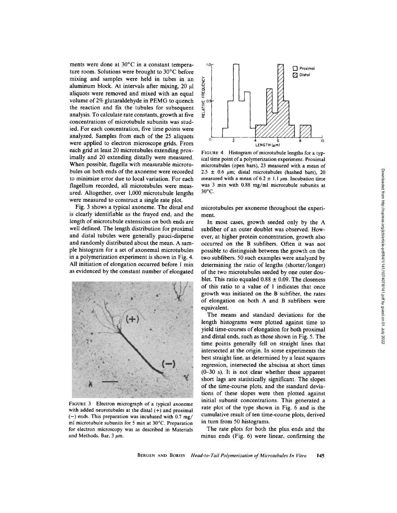ments were done at 30°C in a constant temperature room. Solutions were brought to 30°C before mixing and samples were held in tubes in an aluminum block. At intervals after mixing, 20  $\mu$ l aliquots were removed and mixed with an equal volume of 2% glutaraldehyde in PEMG to quench the reaction and fix the tubules for subsequent analysis . To calculate rate constants, growth at five concentrations of microtubule subunits was studied. For each concentration, five time points were analyzed. Samples from each of the 25 aliquots were applied to electron microscope grids. From each grid at least 20 microtubules extending proximally and 20 extending distally were measured. When possible, flagella with measurable microtubules on both ends of the axoneme were recorded to minimize error due to local variation. For each flagellum recorded, all microtubules were measured. Altogether, over 1,000 microtubule lengths were measured to construct a single rate plot.

Fig. 3 shows a typical axoneme. The distal end is clearly identifiable as the frayed end, and the length of microtubule extensions on both ends are well defined. The length distribution for proximal and distal tubules were generally pauci-disperse and randomly distributed about the mean. A sample histogram for a set of axonemal microtubules in a polymerization experiment is shown in Fig. 4. All initiation of elongation occurred before <sup>1</sup> min as evidenced by the constant number of elongated



FIGURE <sup>3</sup> Electron micrograph of a typical axoneme with added neurotubules at the distal  $(+)$  and proximal  $(-)$  ends. This preparation was incubated with 0.7 mg/ ml microtubule subunits for 5 min at 30°C. Preparation for electron microscopy was as described in Materials and Methods. Bar,  $3 \mu m$ .



FIGURE 4 Histogram of microtubule lengths for a typical time point of a polymerization experiment . Proximal microtubules (open bars), 23 measured with a mean of  $2.5 \pm 0.6$   $\mu$ m; distal microtubules (hashed bars), 20 measured with a mean of  $6.2 \pm 1.1 \,\mu\text{m}$ . Incubation time was 3 min with 0.88 mg/ml microtubule subunits at  $30^{\circ}$ C.

microtubules per axoneme throughout the experiment.

In most cases, growth seeded only by the A subfiber of an outer doublet was observed. However, at higher protein concentration, growth also occurred on the B subfibers. Often it was not possible to distinguish between the growth on the two subfibers. 50 such examples were analyzed by determining the ratio of lengths (shorter/longer) of the two microtubules seeded by one outer doublet. This ratio equaled  $0.88 \pm 0.09$ . The closeness of this ratio to a value of <sup>1</sup> indicates that once growth was initiated on the B subfiber, the rates of elongation on both A and B subfibers were equivalent.

The means and standard deviations for the length histograms were plotted against time to yield time-courses of elongation for both proximal and distal ends, such as those shown in Fig. 5. The time points generally fell on straight lines that intersected at the origin. In some experiments the best straight line, as determined by a least squares regression, intersected the abscissa at short times (0-30 s). It is not clear whether these apparent short lags are statistically significant. The slopes of the time-course plots, and the standard deviations of these slopes were then plotted against initial subunit concentrations. This generated a rate plot of the type shown in Fig. <sup>6</sup> and is the cumulative result of ten time-course plots, derived in turn from 50 histograms.

The rate plots for both the plus ends and the minus ends  $(Fig. 6)$  were linear, confirming the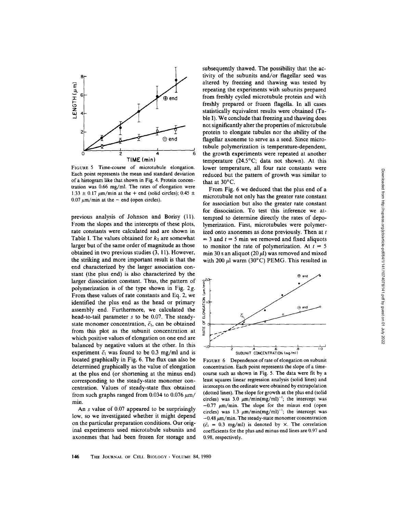

FIGURE 5 Time-course of microtubule elongation. Each point represents the mean and standard deviation of a histogram like that shown in Fig. 4. Protein concentration was  $0.66$  mg/ml. The rates of elongation were  $1.33 \pm 0.17 \ \mu \text{m/min}$  at the + end (solid circles); 0.45  $\pm$  $0.07 \mu$ m/min at the - end (open circles).

previous analysis of Johnson and Borisy (11). From the slopes and the intercepts of these plots, rate constants were calculated and are shown in Table I. The values obtained for  $k_2$  are somewhat larger but of the same order of magnitude as those obtained in two previous studies (3, 11). However, the striking and more important result is that the end characterized by the larger association constant (the plus end) is also characterized by the larger dissociation constant. Thus, the pattern of polymerization is of the type shown in Fig. 2g. From these values of rate constants and Eq. 2, we identified the plus end as the head or primary assembly end. Furthermore, we calculated the head-to-tail parameter s to be 0.07. The steadystate monomer concentration,  $\bar{c}_1$ , can be obtained from this plot as the subunit concentration at which positive values of elongation on one end are balanced by negative values at the other. In this experiment  $\bar{c}_1$  was found to be 0.3 mg/ml and is located graphically in Fig. 6. The flux can also be determined graphically as the value of elongation at the plus end (or shortening at the minus end) corresponding to the steady-state monomer concentration. Values of steady-state flux obtained from such graphs ranged from 0.034 to 0.076  $\mu$ m/ min.

An <sup>s</sup> value of 0.07 appeared to be surprisingly low, so we investigated whether it might depend on the particular preparation conditions. Our original experiments used microtubule subunits and axonemes that had been frozen for storage and subsequently thawed. The possibility that the activity of the subunits and/or flagellar seed was altered by freezing and thawing was tested by repeating the experiments with subunits prepared from freshly cycled microtubule protein and with freshly prepared or frozen flagella. In all cases statistically equivalent results were obtained (Table I). We conclude that freezing and thawing does not significantly alter the properties of microtubule protein to elongate tubules nor the ability of the flagellar axoneme to serve as a seed. Since microtubule polymerization is temperature-dependent, the growth experiments were repeated at another temperature  $(24.5^{\circ}C;$  data not shown). At this lower temperature, all four rate constants were reduced but the pattern of growth was similar to that at 30°C.

From Fig. 6 we deduced that the plus end of a microtubule not only has the greater rate constant for association but also the greater rate constant for dissociation. To test this inference we attempted to determine directly the rates of depolymerization. First, microtubules were polymerized onto axonemes as done previously. Then at  $t$  $= 3$  and  $t = 5$  min we removed and fixed aliquots to monitor the rate of polymerization. At  $t = 5$ min 30 s an aliquot (20  $\mu$ l) was removed and mixed with 200  $\mu$ l warm (30°C) PEMG. This resulted in



FIGURE 6 Dependence of rate of elongation on subunit concentration. Each point represents the slope of a timecourse such as shown in Fig. 5. The data were fit by a least squares linear regression analysis (solid lines) and intercepts on the ordinate were obtained by extrapolation (dotted lines) . The slope for growth at the plus end (solid circles) was 3.0  $\mu$ m/min(mg/ml)<sup>-1</sup>; the intercept was  $-0.77 \mu m/min$ . The slope for the minus end (open circles) was 1.3  $\mu$ m/min(mg/ml)<sup>-1</sup>; the intercept was  $-0.48 \,\mu m/min$ . The steady-state monomer concentration  $(\bar{c}_1 = 0.3 \text{ mg/ml})$  is denoted by  $\times$ . The correlation coefficients for the plus and minus end lines are 0.97 and 0.98, respectively.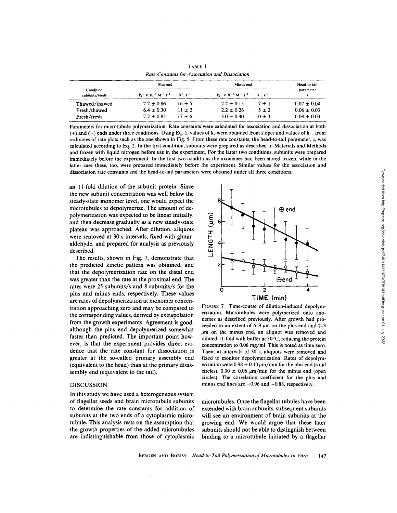| Condition<br>subunits/seeds | Plus end                                                              |              | Minus end                                                |                                 | Head-to-tail    |
|-----------------------------|-----------------------------------------------------------------------|--------------|----------------------------------------------------------|---------------------------------|-----------------|
|                             | $k_2$ <sup>+</sup> × 10 <sup>-6</sup> M <sup>-1</sup> s <sup>-1</sup> | $k - s^{-1}$ | $k_2^{-} \times 10^{-6}$ M <sup>-1</sup> s <sup>-1</sup> | $k_{-1}^{-1}$ , s <sup>-1</sup> | parameter<br>s  |
| Thawed/thawed               | $7.2 \pm 0.86$                                                        | $16 \pm 5$   | $2.2 \pm 0.15$                                           | $7 \pm 1$                       | $0.07 \pm 0.04$ |
| Fresh/thawed                | $6.4 \pm 0.30$                                                        | $11 \pm 2$   | $2.2 \pm 0.26$                                           | $5 \pm 2$                       | $0.06 \pm 0.03$ |
| Fresh/fresh                 | $7.2 \pm 0.85$                                                        | $17 + 6$     | $3.0 \pm 0.40$                                           | $10 \pm 3$                      | $0.08 \pm 0.03$ |

TABLE <sup>I</sup> Rate Constants for Association and Dissociation

Parameters for microtubule polymerization. Rate constants were calculated for association and dissociation at both (+) and (-) ends under three conditions. Using Eq. 1, values of  $k_2$  were obtained from slopes and values of  $k_{-1}$  from ordinates of rate plots such as the one shown in Fig. 5. From these rate constants, the head-to-tail parameter, s, was calculated according to Eq. 2. In the first condition, subunits were prepared as described in Materials and Methods and frozen with liquid nitrogen before use in the experiment . For the latter two conditions, subunits were prepared immediately before the experiment. In the first two conditions the axonemes had been stored frozen, while in the latter case these, too, were prepared immediately before the experiment. Similar values for the association and dissociation rate constants and the head-to-tail parameters were obtained under all three conditions .

an I1-fold dilution of the subunit protein. Since the new subunit concentration was well below the steady-state monomer level, one would expect the microtubules to depolymerize. The amount of depolymerization was expected to be linear initially, and then decrease gradually as a new steady-state plateau was approached. After dilution, aliquots were removed at 30-s intervals, fixed with glutaraldehyde, and prepared for analysis as previously described.

The results, shown in Fig. 7, demonstrate that the predicted kinetic pattern was obtained, and that the depolymerization rate on the distal end was greater than the rate at the proximal end. The rates were 25 subunits/s and <sup>8</sup> subunits/s for the plus and minus ends, respectively. These values are rates of depolymerization at monomer concentration approaching zero and maybe compared to the corresponding values, derived by extrapolation from the growth experiments. Agreement is good, although the plus end depolymerized somewhat faster than predicted. The important point however, is that the experiment provides direct evidence that the rate constant for dissociation is greater at the so-called primary assembly end (equivalent to the head) than at the primary disassembly end (equivalent to the tail).

#### DISCUSSION

In this study we have used a heterogeneous system of flagellar seeds and brain microtubule subunits to determine the rate constants for addition of subunits at the two ends of a cytoplasmic microtubule. This analysis rests on the assumption that the growth properties of the added microtubules are indistinguishable from those of cytoplasmic



FIGURE <sup>7</sup> Time-course of dilution-induced depolymerization. Microtubules were polymerized onto axonemes as described previously . After growth had proceeded to an extent of  $6-9 \mu m$  on the plus end and 2-3  $\mu$ m on the minus end, an aliquot was removed and diluted 11-fold with buffer at 30°C, reducing the protein concentration to 0.06 mg/ml. This is noted as time zero. Then, at intervals of 30 s, aliquots were removed and fixed to monitor depolymerization. Rates of depolymerization were  $0.98 \pm 0.10 \,\mu m/min$  for the plus end (solid circles),  $0.30 \pm 0.06 \mu m/min$  for the minus end (open circles) . The correlation coefficient for the plus and minus end lines are  $-0.96$  and  $-0.88$ , respectively.

microtubules . Once the flagellar tubules have been extended with brain subunits, subsequent subunits will see an environment of brain subunits at the growing end. We would argue that these later subunits should not be able to distinguish between binding to a microtubule initiated by a flagellar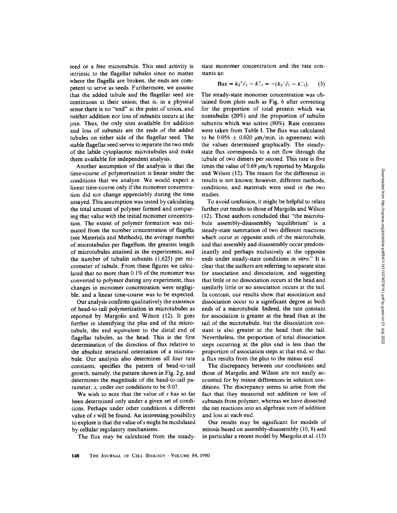seed or a free microtubule. This seed activity is intrinsic to the flagellar tubules since no matter where the flagella are broken, the ends are competent to serve as seeds . Furthermore, we assume that the added tubule and the flagellar seed are continuous at their union; that is, in a physical sense there is no "end" at the point of union, and neither addition nor loss of subunits occurs at the join . Thus, the only sites available for addition and loss of subunits are the ends of the added tubules on either side of the flagellar seed. The stable flagellar seed serves to separate the two ends of the labile cytoplasmic microtubules and make them available for independent analysis .

Another assumption of the analysis is that the time-course of polymerization is linear under the conditions that we analyze . We would expect a linear time-course only if the monomer concentration did not change appreciably during the time assayed. This assumption was tested by calculating the total amount of polymer formed and comparing that value with the initial monomer concentration. The extent of polymer formation was estimated from the number concentration of flagella (see Materials and Methods), the average number of microtubules per flagellum, the greatest length of microtubules attained in the experiments, and the number of tubulin subunits (1,625) per micrometer of tubule. From these figures we calculated that no more than  $0.1\%$  of the monomer was converted to polymer during any experiment, thus changes in monomer concentration were negligible, and a linear time-course was to be expected.

Our analysis confirms qualitatively the existence of head-to-tail polymerization in microtubules as reported by Margolis and Wilson (12). It goes further in identifying the plus end of the microtubule, the end equivalent to the distal end of flagellar tubules, as the head. This is the first determination of the direction of flux relative to the absolute structural orientation of a microtubule. Our analysis also determines all four rate constants, specifies the pattern of head-to-tail growth, namely, the pattern shown in Fig. 2 g, and determines the magnitude of the head-to-tail parameter, s, under our conditions to be 0.07.

We wish to note that the value of  $s$  has so far been determined only under a given set of conditions . Perhaps under other conditions a different value of <sup>s</sup> will be found. An interesting possibility to explore is that the value of  $s$  might be modulated by cellular regulatory mechanisms.

The flux may be calculated from the steady-

state monomer concentration and the rate constants as:

$$
flux = k_2^+ \bar{c}_1 - k_{-1}^+ = -(k_2^- \bar{c}_1 - k_{-1}^-). \tag{3}
$$

The steady-state monomer concentration was obtained from plots such as Fig. 6 after correcting for the proportion of total protein which was nontubulin (20%) and the proportion of tubulin subunits which was active (80%). Rate constants were taken from Table I. The flux was calculated to be  $0.056 \pm 0.020 \mu m/min$ , in agreement with the values determined graphically. The steadystate flux corresponds to a net flow through the tubule of two dimers per second. This rate is five times the value of 0.69  $\mu$ m/h reported by Margolis and Wilson (12) . The reason for the difference in results is not known; however, different methods, conditions, and materials were used in the two studies .

To avoid confusion, it might be helpful to relate further our results to those of Margolis and Wilson (12) . Those authors concluded that "the microtubule assembly-disassembly 'equilibrium' is a steady-state summation of two different reactions which occur at opposite ends of the microtubule, and that assembly and disassembly occur predominantly and perhaps exclusively at the opposite ends under steady-state conditions in vitro." It is clear that the authors are referring to separate sites for association and dissociation, and suggesting that little or no dissociation occurs at the head and similarly little or no association occurs at the tail. In contrast, our results show that association and dissociation occur to a significant degree at both ends of a microtubule . Indeed, the rate constant for association is greater at the head than at the tail of the microtubule, but the dissociation constant is also greater at the head than the tail. Nevertheless, the proportion of total dissociation steps occurring at the plus end is less than the proportion of association steps at that end, so that a flux results from the plus to the minus end.

The discrepancy between our conclusions and those of Margolis and Wilson are not easily accounted for by minor differences in solution conditions. The discrepancy seems to arise from the fact that they measured net addition or loss of subunits from polymer, whereas we have dissected the net reactions into an algebraic sum of addition and loss at each end.

Our results may be significant for models of mitosis based on assembly-disassembly (10, 8) and in particular a recent model by Margolis et al.  $(13)$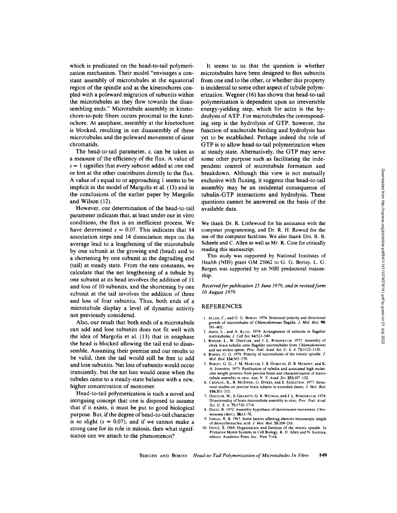which is predicated on the head-to-tail polymerization mechanism. Their model "envisages a constant assembly of microtubules at the equatorial region of the spindle and at the kinetochores coupled with a poleward migration of subunits within the microtubules as they flow towards the disassembling ends." Microtubule assembly in kinetochore-to-pole fibers occurs proximal to the kinetochore. At anaphase, assembly at the kinetochore is blocked, resulting in net disassembly of these microtubules and the poleward movement of sister chromatids.

The head-to-tail parameter, s, can be taken as <sup>a</sup> measure of the efficiency of the flux . Avalue of  $s = 1$  signifies that every subunit added at one end or lost at the other contributes directly to the flux. A value of <sup>s</sup> equal to or approaching <sup>1</sup> seems to be implicit in the model of Margolis et al. (13) and in the conclusions of the earlier paper by Margolis and Wilson (12).

However, our determination of the head-to-tail parameter indicates that, at least under our in vitro conditions, the flux is an inefficient process. We have determined  $s = 0.07$ . This indicates that 14 association steps and <sup>14</sup> dissociation steps on the average lead to a lengthening of the microtubule by one subunit at the growing end (head) and to a shortening by one subunit at the degrading end (tail) at steady state. From the rate constants, we calculate that the net lengthening of a tubule by one subunit at its head involves the addition of 11 and loss of <sup>10</sup> subunits, and the shortening by one subunit at the tail involves the addition of three and loss of four subunits. Thus, both ends of a microtubule display a level of dynamic activity not previously considered .

Also, our result that both ends of a microtubule can add and lose subunits does not fit well with the idea of Margolis et al. (13) that in anaphase the head is blocked allowing the tail end to disassemble. Assuming their premise and our results to be valid, then the tail would still be free to add and lose subunits. Net loss of subunits would occur transiently, but the net loss would cease when the tubules came to a steady-state balance with a new, higher concentration of monomer.

Head-to-tail polymerization is such a novel and intriguing concept that one is disposed to assume that if it exists, it must be put to good biological purpose. But, if the degree of head-to-tail character is so slight  $(s = 0.07)$ , and if we cannot make a strong case for its role in mitosis, then what significance can we attach to the phenomenon?

It seems to us that the question is whether microtubules have been designed to flux subunits from one end to the other, or whether this property is incidental to some other aspect of tubule polymerization. Wegner (16) has shown that head-to-tail polymerization is dependent upon an irreversible energy-yielding step, which for actin is the hydrolysis of ATP. For microtubules the corresponding step is the hydrolysis of GTP, however, the function of nucleotide binding and hydrolysis has yet to be established. Perhaps indeed the role of GTP is to allow head-to-tail polymerization when at steady state. Alternatively, the GTP may serve some other purpose such as facilitating the independent control of microtubule formation and breakdown. Although this view is not mutually exclusive with fluxing, it suggests that head-to-tail assembly may be an incidental consequence of tubulin-GTP interactions and hydrolysis . These questions cannot be answered on the basis of the available data.

We thank Dr. R. Littlewood for his assistance with the computer programming, and Dr. R. H. Rownd for the use of the computer facilities. We also thank Drs. R. B. Scheele and C. Allen as well as Mr. R. Cote for critically reading this manuscript.

This study was supported by National Institutes of Health (NIH) grant GM 25062 to G. G. Borisy. L. G. Bergen was supported by an NIH predoctoral traineeship.

Received for publication 25 June 1979, and in revised form 10 August 1979.

## **REFERENCES**

- 1. ALLEN, C., and G. G. BORISY. 1974. Structural polarity and directional growth of microtubules of Chlamydomonas flagella. J. Mol. Biol. 90:<br>381-402.
- 2. AMOS, L., and A. KLUG. 1974. Arrangement of subunits in flagellar microtubules. J. Cell Sci. 14:523-549.
- <sup>3</sup> BINDER, L., W. DENTLER, and J. L. ROSENBAUM. 1975. Assembly of chick brain tubulin onto flagellar microtubules from Chlamydon and sea urchin sperm. Proc. Natl. Acad. Sci. U. S. A. 72:1122-1126.<br>4. BORISY, G. G. 1978. Polarity of microtubules of the mitotic spindle. J.<br>14.1. P. 1.1.1.666.670.
- Mol. Biol. 124:565-570 5. BORISY, G. G., J. M. MARCUM, J. B. OLMSTED, D. B. MURPHY, and K.
- A. JOHNSON. 1975. Purification of tubulin and associated high molecular weight proteins from porcine brain and characterization of microtubule assembly in vitro. Ann. N. Y. Acad. Sci. 253:107-132.
- <sup>6</sup> CREPEAU, R., B. MCEwEN, G. DYKES, and <sup>S</sup> EDELSTEIN <sup>1977</sup> Structural studies on porcine brain tubulin in extended sheets. J. Mol. Biol. 116:301-315 .
- 7. DENTLER, W., S. GRANETT, G. B. WITMAN, and J. L. ROSENBAUM. 1974. Directionality of brain microtubule assembly in vitro. Proc. Natl. Acad. Sci. U. S. A. 71:1710-1714.
- 8. DIETZ, R. 1972. Assembly hypothesis of chromosome movement. Chromosoma (Berl.). 38:11-76.
- 9. INMAN, R. B. 1967. Some factors affecting electron microscopic length of deoxyribonucleic acid J Mol. Biol 25:209-216 .
- 10. INOUÉ, S. 1964. Organization and function of the mitotic spindle. In Primative Motile Systems in Cell Biology. R. D. Allen and N. Kamiya, editors. Academic Press, Inc., New York